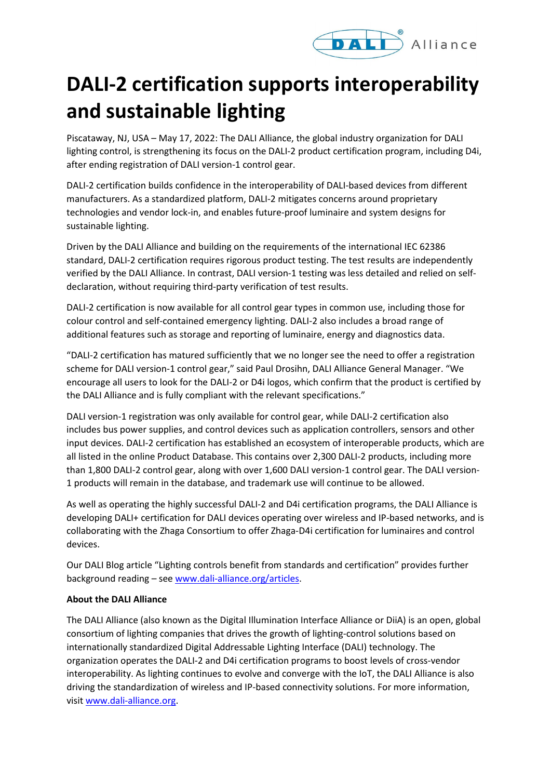

## **DALI-2 certification supports interoperability and sustainable lighting**

Piscataway, NJ, USA – May 17, 2022: The DALI Alliance, the global industry organization for DALI lighting control, is strengthening its focus on the DALI-2 product certification program, including D4i, after ending registration of DALI version-1 control gear.

DALI-2 certification builds confidence in the interoperability of DALI-based devices from different manufacturers. As a standardized platform, DALI-2 mitigates concerns around proprietary technologies and vendor lock-in, and enables future-proof luminaire and system designs for sustainable lighting.

Driven by the DALI Alliance and building on the requirements of the international IEC 62386 standard, DALI-2 certification requires rigorous product testing. The test results are independently verified by the DALI Alliance. In contrast, DALI version-1 testing was less detailed and relied on selfdeclaration, without requiring third-party verification of test results.

DALI-2 certification is now available for all control gear types in common use, including those for colour control and self-contained emergency lighting. DALI-2 also includes a broad range of additional features such as storage and reporting of luminaire, energy and diagnostics data.

"DALI-2 certification has matured sufficiently that we no longer see the need to offer a registration scheme for DALI version-1 control gear," said Paul Drosihn, DALI Alliance General Manager. "We encourage all users to look for the DALI-2 or D4i logos, which confirm that the product is certified by the DALI Alliance and is fully compliant with the relevant specifications."

DALI version-1 registration was only available for control gear, while DALI-2 certification also includes bus power supplies, and control devices such as application controllers, sensors and other input devices. DALI-2 certification has established an ecosystem of interoperable products, which are all listed in the online Product Database. This contains over 2,300 DALI-2 products, including more than 1,800 DALI-2 control gear, along with over 1,600 DALI version-1 control gear. The DALI version-1 products will remain in the database, and trademark use will continue to be allowed.

As well as operating the highly successful DALI-2 and D4i certification programs, the DALI Alliance is developing DALI+ certification for DALI devices operating over wireless and IP-based networks, and is collaborating with the Zhaga Consortium to offer Zhaga-D4i certification for luminaires and control devices.

Our DALI Blog article "Lighting controls benefit from standards and certification" provides further background reading – see [www.dali-alliance.org/articles.](http://www.dali-alliance.org/articles)

## **About the DALI Alliance**

The DALI Alliance (also known as the Digital Illumination Interface Alliance or DiiA) is an open, global consortium of lighting companies that drives the growth of lighting-control solutions based on internationally standardized Digital Addressable Lighting Interface (DALI) technology. The organization operates the DALI-2 and D4i certification programs to boost levels of cross-vendor interoperability. As lighting continues to evolve and converge with the IoT, the DALI Alliance is also driving the standardization of wireless and IP-based connectivity solutions. For more information, visi[t www.dali-alliance.org.](http://www.dali-alliance.org/)